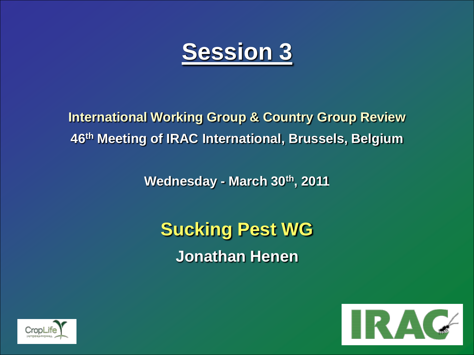

**International Working Group & Country Group Review 46th Meeting of IRAC International, Brussels, Belgium**

**Wednesday - March 30th, 2011**

**Sucking Pest WG Jonathan Henen**



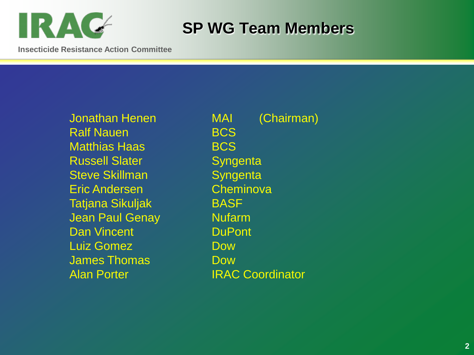

### **SP WG Team Members**

**Insecticide Resistance Action Committee**

Ralf Nauen **BCS** Matthias Haas **BCS** Russell Slater **Syngenta** Steve Skillman Syngenta Eric Andersen Cheminova Tatjana Sikuljak **BASF** Jean Paul Genay **Nufarm** Dan Vincent **DuPont** Luiz Gomez **Dow** James Thomas **Dow** Alan Porter **IRAC Coordinator** 

Jonathan Henen MAI (Chairman)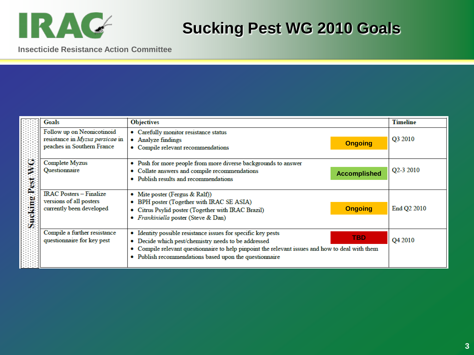

### **Sucking Pest WG 2010 Goals**

**Insecticide Resistance Action Committee**

|                   | Goals                                                                                       | <b>Objectives</b>                                                                                                                                                                                                                                                                                | <b>Timeline</b>        |
|-------------------|---------------------------------------------------------------------------------------------|--------------------------------------------------------------------------------------------------------------------------------------------------------------------------------------------------------------------------------------------------------------------------------------------------|------------------------|
| O<br>Sucking Pest | Follow up on Neonicotinoid<br>resistance in Myzus persicae in<br>peaches in Southern France | Carefully monitor resistance status<br>۰<br>Analyze findings<br><b>Ongoing</b><br>Compile relevant recommendations                                                                                                                                                                               | Q3 2010                |
|                   | Complete Myzus<br>Questionnaire                                                             | Push for more people from more diverse backgrounds to answer<br>٠<br>Collate answers and compile recommendations<br>۰<br><b>Accomplished</b><br>Publish results and recommendations<br>۰                                                                                                         | O <sub>2</sub> -3 2010 |
|                   | <b>IRAC Posters - Finalize</b><br>versions of all posters<br>currently been developed       | • Mite poster (Fergus & Ralf))<br>BPH poster (Together with IRAC SE ASIA)<br>۰<br><b>Ongoing</b><br>Citrus Psylid poster (Together with IRAC Brazil)<br>۰<br><i>Frankiniella</i> poster (Steve & Dan)                                                                                            | End Q2 2010            |
|                   | Compile a further resistance<br>questionnaire for key pest                                  | Identity possible resistance issues for specific key pests<br><b>TBD</b><br>Decide which pest/chemistry needs to be addressed<br>۰<br>Compile relevant questionnaire to help pinpoint the relevant issues and how to deal with them<br>Publish recommendations based upon the questionnaire<br>۰ | Q4 2010                |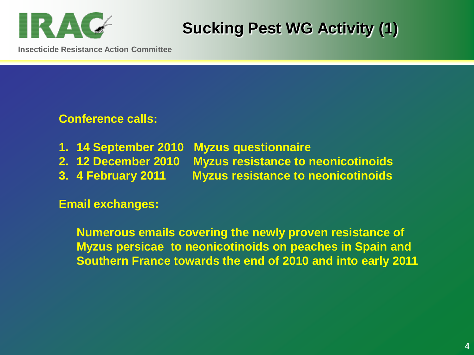

# **Sucking Pest WG Activity (1)**

**Insecticide Resistance Action Committee**

#### **Conference calls:**

- **1. 14 September 2010 Myzus questionnaire**
- **2. 12 December 2010 Myzus resistance to neonicotinoids**
- **3. 4 February 2011 Myzus resistance to neonicotinoids**

**Email exchanges:**

**Numerous emails covering the newly proven resistance of Myzus persicae to neonicotinoids on peaches in Spain and Southern France towards the end of 2010 and into early 2011**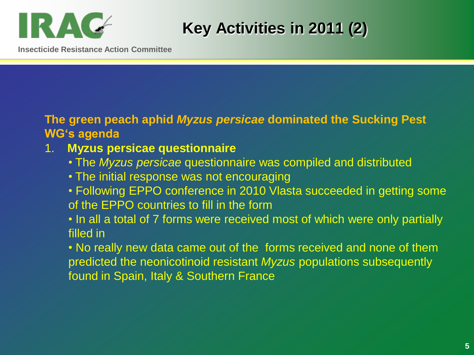

# **Key Activities in 2011 (2)**

**Insecticide Resistance Action Committee**

#### **The green peach aphid** *Myzus persicae* **dominated the Sucking Pest WG's agenda**

### 1. **Myzus persicae questionnaire**

- The *Myzus persicae* questionnaire was compiled and distributed
- The initial response was not encouraging
- Following EPPO conference in 2010 Vlasta succeeded in getting some of the EPPO countries to fill in the form
- In all a total of 7 forms were received most of which were only partially filled in

• No really new data came out of the forms received and none of them predicted the neonicotinoid resistant *Myzus* populations subsequently found in Spain, Italy & Southern France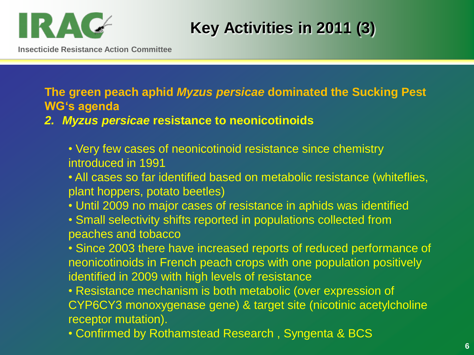

**Insecticide Resistance Action Committee**

**Key Activities in 2011 (3)**

**The green peach aphid** *Myzus persicae* **dominated the Sucking Pest WG's agenda**

*2. Myzus persicae* **resistance to neonicotinoids**

• Very few cases of neonicotinoid resistance since chemistry introduced in 1991

• All cases so far identified based on metabolic resistance (whiteflies, plant hoppers, potato beetles)

- Until 2009 no major cases of resistance in aphids was identified
- Small selectivity shifts reported in populations collected from peaches and tobacco

• Since 2003 there have increased reports of reduced performance of neonicotinoids in French peach crops with one population positively identified in 2009 with high levels of resistance

• Resistance mechanism is both metabolic (over expression of CYP6CY3 monoxygenase gene) & target site (nicotinic acetylcholine receptor mutation).

• Confirmed by Rothamstead Research , Syngenta & BCS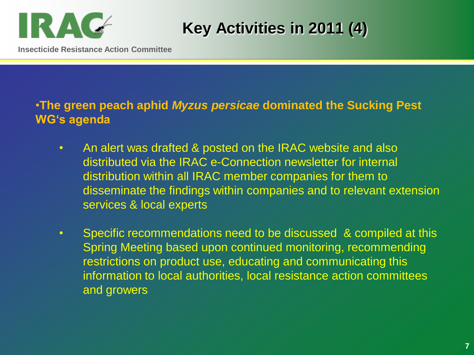

**Key Activities in 2011 (4)**

**Insecticide Resistance Action Committee**

### •**The green peach aphid** *Myzus persicae* **dominated the Sucking Pest WG's agenda**

- An alert was drafted & posted on the IRAC website and also distributed via the IRAC e-Connection newsletter for internal distribution within all IRAC member companies for them to disseminate the findings within companies and to relevant extension services & local experts
- Specific recommendations need to be discussed & compiled at this Spring Meeting based upon continued monitoring, recommending restrictions on product use, educating and communicating this information to local authorities, local resistance action committees and growers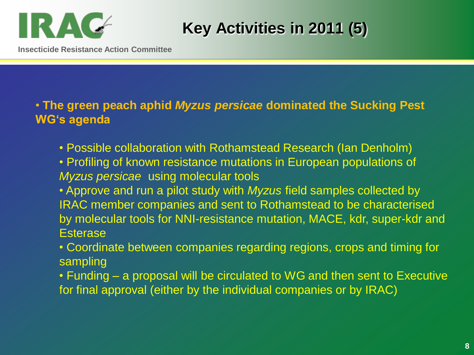

**Key Activities in 2011 (5)**

**Insecticide Resistance Action Committee**

• **The green peach aphid** *Myzus persicae* **dominated the Sucking Pest WG's agenda**

- Possible collaboration with Rothamstead Research (Ian Denholm)
- Profiling of known resistance mutations in European populations of *Myzus persicae* using molecular tools
- Approve and run a pilot study with *Myzus* field samples collected by IRAC member companies and sent to Rothamstead to be characterised by molecular tools for NNI-resistance mutation, MACE, kdr, super-kdr and **Esterase**
- Coordinate between companies regarding regions, crops and timing for sampling
- Funding a proposal will be circulated to WG and then sent to Executive for final approval (either by the individual companies or by IRAC)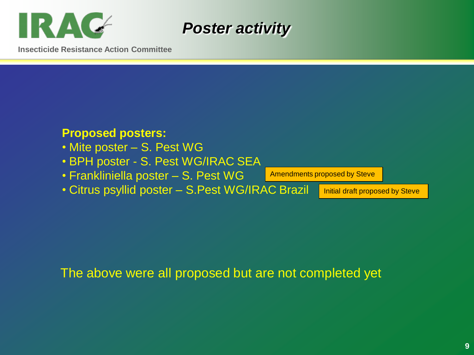



**Insecticide Resistance Action Committee**

#### **Proposed posters:**

- Mite poster S. Pest WG
- BPH poster S. Pest WG/IRAC SEA
- Frankliniella poster S. Pest WG

Amendments proposed by Steve

• Citrus psyllid poster – S.Pest WG/IRAC Brazil

Initial draft proposed by Steve

The above were all proposed but are not completed yet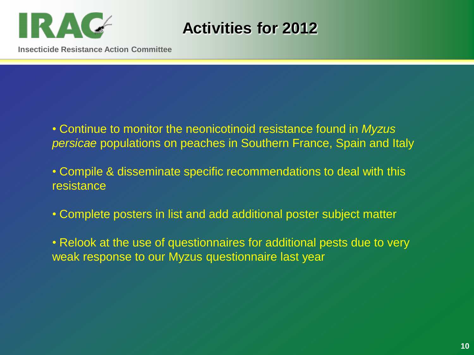

**Activities for 2012**

**Insecticide Resistance Action Committee**

• Continue to monitor the neonicotinoid resistance found in *Myzus persicae* populations on peaches in Southern France, Spain and Italy

• Compile & disseminate specific recommendations to deal with this resistance

• Complete posters in list and add additional poster subject matter

• Relook at the use of questionnaires for additional pests due to very weak response to our Myzus questionnaire last year